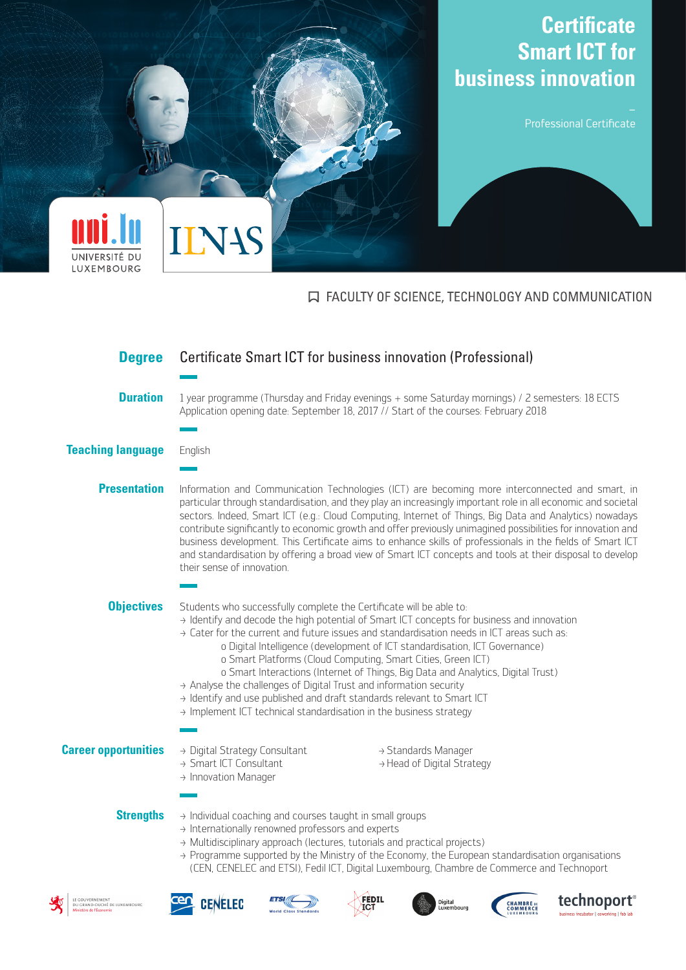

## **IN FACULTY OF SCIENCE, TECHNOLOGY AND COMMUNICATION**

| <b>Degree</b>                                                              | Certificate Smart ICT for business innovation (Professional)                                                                                                                                                                                                                                                                                                                                                                                                                                                                                                                                                                                                                                                                                                |
|----------------------------------------------------------------------------|-------------------------------------------------------------------------------------------------------------------------------------------------------------------------------------------------------------------------------------------------------------------------------------------------------------------------------------------------------------------------------------------------------------------------------------------------------------------------------------------------------------------------------------------------------------------------------------------------------------------------------------------------------------------------------------------------------------------------------------------------------------|
|                                                                            |                                                                                                                                                                                                                                                                                                                                                                                                                                                                                                                                                                                                                                                                                                                                                             |
| <b>Duration</b>                                                            | 1 year programme (Thursday and Friday evenings + some Saturday mornings) / 2 semesters: 18 ECTS<br>Application opening date: September 18, 2017 // Start of the courses: February 2018                                                                                                                                                                                                                                                                                                                                                                                                                                                                                                                                                                      |
|                                                                            |                                                                                                                                                                                                                                                                                                                                                                                                                                                                                                                                                                                                                                                                                                                                                             |
| <b>Teaching language</b>                                                   | English                                                                                                                                                                                                                                                                                                                                                                                                                                                                                                                                                                                                                                                                                                                                                     |
|                                                                            |                                                                                                                                                                                                                                                                                                                                                                                                                                                                                                                                                                                                                                                                                                                                                             |
| <b>Presentation</b>                                                        | Information and Communication Technologies (ICT) are becoming more interconnected and smart, in<br>particular through standardisation, and they play an increasingly important role in all economic and societal<br>sectors. Indeed, Smart ICT (e.g.: Cloud Computing, Internet of Things, Big Data and Analytics) nowadays<br>contribute significantly to economic growth and offer previously unimagined possibilities for innovation and<br>business development. This Certificate aims to enhance skills of professionals in the fields of Smart ICT<br>and standardisation by offering a broad view of Smart ICT concepts and tools at their disposal to develop<br>their sense of innovation.                                                         |
|                                                                            |                                                                                                                                                                                                                                                                                                                                                                                                                                                                                                                                                                                                                                                                                                                                                             |
| <b>Objectives</b>                                                          | Students who successfully complete the Certificate will be able to:<br>→ Identify and decode the high potential of Smart ICT concepts for business and innovation<br>$\rightarrow$ Cater for the current and future issues and standardisation needs in ICT areas such as:<br>o Digital Intelligence (development of ICT standardisation, ICT Governance)<br>o Smart Platforms (Cloud Computing, Smart Cities, Green ICT)<br>o Smart Interactions (Internet of Things, Big Data and Analytics, Digital Trust)<br>$\rightarrow$ Analyse the challenges of Digital Trust and information security<br>→ Identify and use published and draft standards relevant to Smart ICT<br>$\rightarrow$ Implement ICT technical standardisation in the business strategy |
| <b>Career opportunities</b>                                                | → Digital Strategy Consultant<br>→ Standards Manager<br>→ Smart ICT Consultant<br>→ Head of Digital Strategy<br>> Innovation Manager                                                                                                                                                                                                                                                                                                                                                                                                                                                                                                                                                                                                                        |
|                                                                            |                                                                                                                                                                                                                                                                                                                                                                                                                                                                                                                                                                                                                                                                                                                                                             |
| <b>Strengths</b>                                                           | > Individual coaching and courses taught in small groups<br>$\rightarrow$ Internationally renowned professors and experts<br>> Multidisciplinary approach (lectures, tutorials and practical projects)<br>→ Programme supported by the Ministry of the Economy, the European standardisation organisations<br>(CEN, CENELEC and ETSI), Fedil ICT, Digital Luxembourg, Chambre de Commerce and Technoport                                                                                                                                                                                                                                                                                                                                                    |
| LE GOUVERNEMENT<br>DU GRAND-DUCHÉ DE LUXEMBOURC<br>Ministère de l'Économie | technoport <sup>®</sup><br>FEDIL<br><b>CENELEC</b><br>Digital<br><b>CHAMBRE</b> DE<br>Luxembourg<br><b>COMMERCE</b><br><b>World Class Standards</b><br>business incubator   coworking   fab lab                                                                                                                                                                                                                                                                                                                                                                                                                                                                                                                                                             |

岁